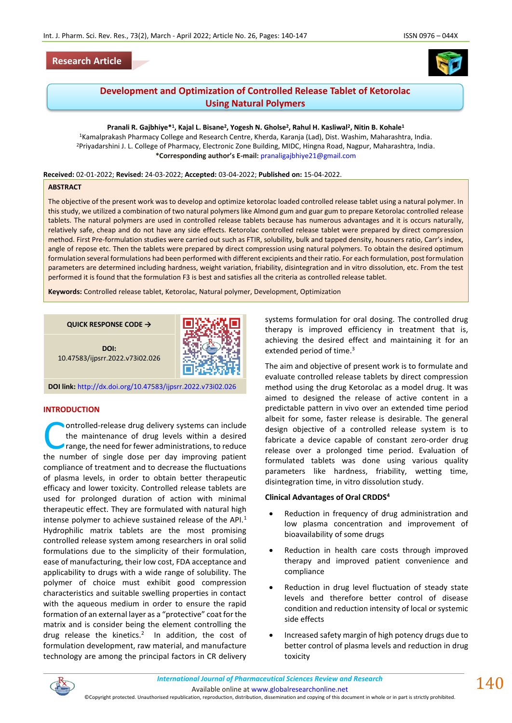# **Research Article**





# **Development and Optimization of Controlled Release Tablet of Ketorolac Using Natural Polymers**

**Pranali R. Gajbhiye\*<sup>1</sup> , Kajal L. Bisane<sup>2</sup> , Yogesh N. Gholse<sup>2</sup> , Rahul H. Kasliwal<sup>2</sup> , Nitin B. Kohale<sup>1</sup>** <sup>1</sup>Kamalprakash Pharmacy College and Research Centre, Kherda, Karanja (Lad), Dist. Washim, Maharashtra, India. <sup>2</sup>Priyadarshini J. L. College of Pharmacy, Electronic Zone Building, MIDC, Hingna Road, Nagpur, Maharashtra, India. **\*Corresponding author's E-mail:** [pranaligajbhiye21@gmail.com](about:blank)

**Received:** 02-01-2022; **Revised:** 24-03-2022; **Accepted:** 03-04-2022; **Published on:** 15-04-2022.

#### **ABSTRACT**

The objective of the present work was to develop and optimize ketorolac loaded controlled release tablet using a natural polymer. In this study, we utilized a combination of two natural polymers like Almond gum and guar gum to prepare Ketorolac controlled release tablets. The natural polymers are used in controlled release tablets because has numerous advantages and it is occurs naturally, relatively safe, cheap and do not have any side effects. Ketorolac controlled release tablet were prepared by direct compression method. First Pre-formulation studies were carried out such as FTIR, solubility, bulk and tapped density, housners ratio, Carr's index, angle of repose etc. Then the tablets were prepared by direct compression using natural polymers. To obtain the desired optimum formulation several formulations had been performed with different excipients and their ratio. For each formulation, post formulation parameters are determined including hardness, weight variation, friability, disintegration and in vitro dissolution, etc. From the test performed it is found that the formulation F3 is best and satisfies all the criteria as controlled release tablet.

**Keywords:** Controlled release tablet, Ketorolac, Natural polymer, Development, Optimization

**QUICK RESPONSE CODE →**



**DOI:** 10.47583/ijpsrr.2022.v73i02.026

**DOI link:** <http://dx.doi.org/10.47583/ijpsrr.2022.v73i02.026>

#### **INTRODUCTION**

ontrolled-release drug delivery systems can include the maintenance of drug levels within a desired range, the need for fewer administrations, to reduce ontrolled-release drug delivery systems can include<br>the maintenance of drug levels within a desired<br>range, the need for fewer administrations, to reduce<br>the number of single dose per day improving patient compliance of treatment and to decrease the fluctuations of plasma levels, in order to obtain better therapeutic efficacy and lower toxicity. Controlled release tablets are used for prolonged duration of action with minimal therapeutic effect. They are formulated with natural high intense polymer to achieve sustained release of the API. $<sup>1</sup>$ </sup> Hydrophilic matrix tablets are the most promising controlled release system among researchers in oral solid formulations due to the simplicity of their formulation, ease of manufacturing, their low cost, FDA acceptance and applicability to drugs with a wide range of solubility. The polymer of choice must exhibit good compression characteristics and suitable swelling properties in contact with the aqueous medium in order to ensure the rapid formation of an external layer as a "protective" coat for the matrix and is consider being the element controlling the drug release the kinetics.<sup>2</sup> In addition, the cost of formulation development, raw material, and manufacture technology are among the principal factors in CR delivery

systems formulation for oral dosing. The controlled drug therapy is improved efficiency in treatment that is, achieving the desired effect and maintaining it for an extended period of time.<sup>3</sup>

The aim and objective of present work is to formulate and evaluate controlled release tablets by direct compression method using the drug Ketorolac as a model drug. It was aimed to designed the release of active content in a predictable pattern in vivo over an extended time period albeit for some, faster release is desirable. The general design objective of a controlled release system is to fabricate a device capable of constant zero-order drug release over a prolonged time period. Evaluation of formulated tablets was done using various quality parameters like hardness, friability, wetting time, disintegration time, in vitro dissolution study.

# **Clinical Advantages of Oral CRDDS<sup>4</sup>**

- Reduction in frequency of drug administration and low plasma concentration and improvement of bioavailability of some drugs
- Reduction in health care costs through improved therapy and improved patient convenience and compliance
- Reduction in drug level fluctuation of steady state levels and therefore better control of disease condition and reduction intensity of local or systemic side effects
- Increased safety margin of high potency drugs due to better control of plasma levels and reduction in drug toxicity



Available online a[t www.globalresearchonline.net](http://www.globalresearchonline.net/)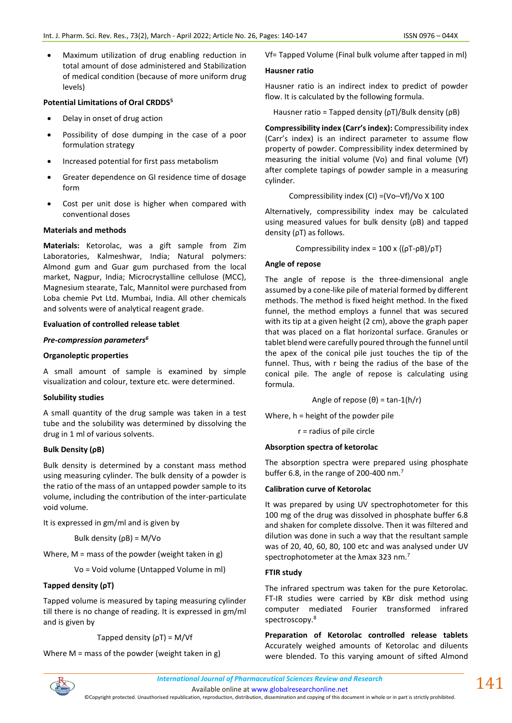• Maximum utilization of drug enabling reduction in total amount of dose administered and Stabilization of medical condition (because of more uniform drug levels)

### **Potential Limitations of Oral CRDDS<sup>5</sup>**

- Delay in onset of drug action
- Possibility of dose dumping in the case of a poor formulation strategy
- Increased potential for first pass metabolism
- Greater dependence on GI residence time of dosage form
- Cost per unit dose is higher when compared with conventional doses

#### **Materials and methods**

**Materials:** Ketorolac, was a gift sample from Zim Laboratories, Kalmeshwar, India; Natural polymers: Almond gum and Guar gum purchased from the local market, Nagpur, India; Microcrystalline cellulose (MCC), Magnesium stearate, Talc, Mannitol were purchased from Loba chemie Pvt Ltd. Mumbai, India. All other chemicals and solvents were of analytical reagent grade.

### **Evaluation of controlled release tablet**

### *Pre-compression parameters<sup>6</sup>*

### **Organoleptic properties**

A small amount of sample is examined by simple visualization and colour, texture etc. were determined.

# **Solubility studies**

A small quantity of the drug sample was taken in a test tube and the solubility was determined by dissolving the drug in 1 ml of various solvents.

# **Bulk Density (ρB)**

Bulk density is determined by a constant mass method using measuring cylinder. The bulk density of a powder is the ratio of the mass of an untapped powder sample to its volume, including the contribution of the inter-particulate void volume.

It is expressed in gm/ml and is given by

Bulk density (ρB) = M/Vo

Where,  $M =$  mass of the powder (weight taken in g)

Vo = Void volume (Untapped Volume in ml)

# **Tapped density (ρT)**

Tapped volume is measured by taping measuring cylinder till there is no change of reading. It is expressed in gm/ml and is given by

#### Tapped density  $(pT) = M/Vf$

Where  $M =$  mass of the powder (weight taken in g)

Vf= Tapped Volume (Final bulk volume after tapped in ml)

# **Hausner ratio**

Hausner ratio is an indirect index to predict of powder flow. It is calculated by the following formula.

Hausner ratio = Tapped density ( $\rho T$ )/Bulk density ( $\rho B$ )

**Compressibility index (Carr's index):** Compressibility index (Carr's index) is an indirect parameter to assume flow property of powder. Compressibility index determined by measuring the initial volume (Vo) and final volume (Vf) after complete tapings of powder sample in a measuring cylinder.

Compressibility index (CI) =(Vo–Vf)/Vo X 100

Alternatively, compressibility index may be calculated using measured values for bulk density (ρB) and tapped density (ρT) as follows.

Compressibility index =  $100 \times \{(\rho T - \rho B)/\rho T\}$ 

### **Angle of repose**

The angle of repose is the three-dimensional angle assumed by a cone-like pile of material formed by different methods. The method is fixed height method. In the fixed funnel, the method employs a funnel that was secured with its tip at a given height (2 cm), above the graph paper that was placed on a flat horizontal surface. Granules or tablet blend were carefully poured through the funnel until the apex of the conical pile just touches the tip of the funnel. Thus, with r being the radius of the base of the conical pile. The angle of repose is calculating using formula.

Angle of repose 
$$
(\theta)
$$
 = tan-1(h/r)

Where, h = height of the powder pile

r = radius of pile circle

#### **Absorption spectra of ketorolac**

The absorption spectra were prepared using phosphate buffer 6.8, in the range of 200-400 nm.<sup>7</sup>

# **Calibration curve of Ketorolac**

It was prepared by using UV spectrophotometer for this 100 mg of the drug was dissolved in phosphate buffer 6.8 and shaken for complete dissolve. Then it was filtered and dilution was done in such a way that the resultant sample was of 20, 40, 60, 80, 100 etc and was analysed under UV spectrophotometer at the λmax 323 nm.<sup>7</sup>

# **FTIR study**

The infrared spectrum was taken for the pure Ketorolac. FT-IR studies were carried by KBr disk method using computer mediated Fourier transformed infrared spectroscopy.<sup>8</sup>

**Preparation of Ketorolac controlled release tablets** Accurately weighed amounts of Ketorolac and diluents were blended. To this varying amount of sifted Almond



Available online a[t www.globalresearchonline.net](http://www.globalresearchonline.net/)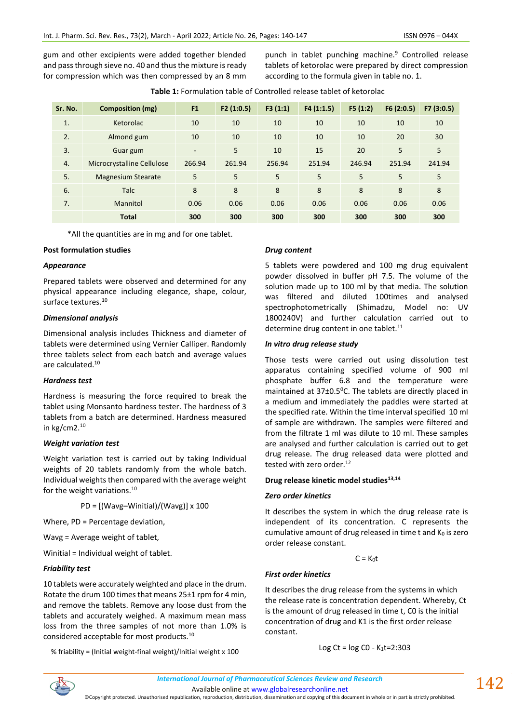gum and other excipients were added together blended and pass through sieve no. 40 and thus the mixture is ready for compression which was then compressed by an 8 mm punch in tablet punching machine.<sup>9</sup> Controlled release tablets of ketorolac were prepared by direct compression according to the formula given in table no. 1.

| Sr. No. | Composition (mg)           | F <sub>1</sub>           | F2(1:0.5) | F3(1:1) | F4(1:1.5) | F5(1:2) | F6(2:0.5) | F7(3:0.5) |
|---------|----------------------------|--------------------------|-----------|---------|-----------|---------|-----------|-----------|
| 1.      | Ketorolac                  | 10                       | 10        | 10      | 10        | 10      | 10        | 10        |
| 2.      | Almond gum                 | 10                       | 10        | 10      | 10        | 10      | 20        | 30        |
| 3.      | Guar gum                   | $\overline{\phantom{a}}$ | 5         | 10      | 15        | 20      | 5         | 5         |
| 4.      | Microcrystalline Cellulose | 266.94                   | 261.94    | 256.94  | 251.94    | 246.94  | 251.94    | 241.94    |
| 5.      | <b>Magnesium Stearate</b>  | 5                        | 5         | 5       | 5         | 5       | 5         | 5         |
| 6.      | <b>Talc</b>                | 8                        | 8         | 8       | 8         | 8       | 8         | 8         |
| 7.      | Mannitol                   | 0.06                     | 0.06      | 0.06    | 0.06      | 0.06    | 0.06      | 0.06      |
|         | <b>Total</b>               | 300                      | 300       | 300     | 300       | 300     | 300       | 300       |

\*All the quantities are in mg and for one tablet.

### **Post formulation studies**

### *Appearance*

Prepared tablets were observed and determined for any physical appearance including elegance, shape, colour, surface textures.<sup>10</sup>

### *Dimensional analysis*

Dimensional analysis includes Thickness and diameter of tablets were determined using Vernier Calliper. Randomly three tablets select from each batch and average values are calculated.<sup>10</sup>

# *Hardness test*

Hardness is measuring the force required to break the tablet using Monsanto hardness tester. The hardness of 3 tablets from a batch are determined. Hardness measured in kg/cm2.<sup>10</sup>

# *Weight variation test*

Weight variation test is carried out by taking Individual weights of 20 tablets randomly from the whole batch. Individual weights then compared with the average weight for the weight variations.<sup>10</sup>

 $PD = [(Wavg-Winitial)/(Wavg)] \times 100$ 

Where, PD = Percentage deviation,

Wavg = Average weight of tablet,

Winitial = Individual weight of tablet.

# *Friability test*

10 tablets were accurately weighted and place in the drum. Rotate the drum 100 times that means 25±1 rpm for 4 min, and remove the tablets. Remove any loose dust from the tablets and accurately weighed. A maximum mean mass loss from the three samples of not more than 1.0% is considered acceptable for most products.<sup>10</sup>

% friability = (Initial weight-final weight)/Initial weight x 100

### *Drug content*

5 tablets were powdered and 100 mg drug equivalent powder dissolved in buffer pH 7.5. The volume of the solution made up to 100 ml by that media. The solution was filtered and diluted 100times and analysed spectrophotometrically (Shimadzu, Model no: UV 1800240V) and further calculation carried out to determine drug content in one tablet.<sup>11</sup>

### *In vitro drug release study*

Those tests were carried out using dissolution test apparatus containing specified volume of 900 ml phosphate buffer 6.8 and the temperature were maintained at  $37\pm0.5^{\circ}$ C. The tablets are directly placed in a medium and immediately the paddles were started at the specified rate. Within the time interval specified 10 ml of sample are withdrawn. The samples were filtered and from the filtrate 1 ml was dilute to 10 ml. These samples are analysed and further calculation is carried out to get drug release. The drug released data were plotted and tested with zero order.<sup>12</sup>

#### **Drug release kinetic model studies13,14**

# *Zero order kinetics*

It describes the system in which the drug release rate is independent of its concentration. C represents the cumulative amount of drug released in time t and  $K_0$  is zero order release constant.

 $C = K_0 t$ 

# *First order kinetics*

It describes the drug release from the systems in which the release rate is concentration dependent. Whereby, Ct is the amount of drug released in time t, C0 is the initial concentration of drug and K1 is the first order release constant.

Log Ct =  $log CO - K_1t = 2:303$ 



Available online a[t www.globalresearchonline.net](http://www.globalresearchonline.net/)

©Copyright protected. Unauthorised republication, reproduction, distribution, dissemination and copying of this document in whole or in part is strictly prohibited.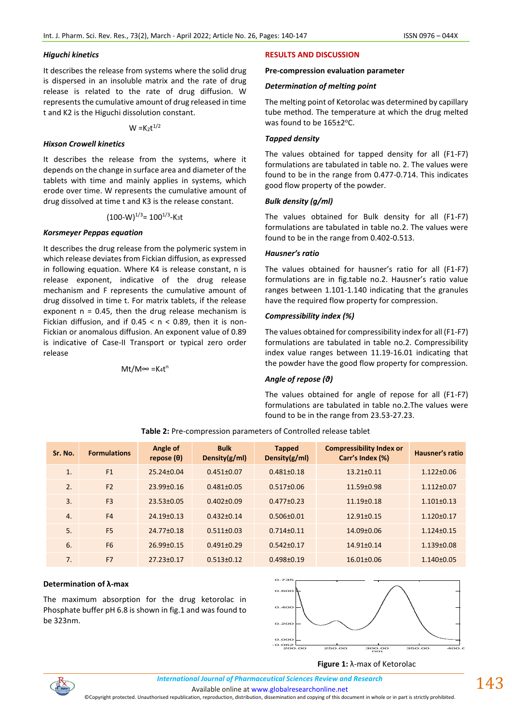### *Higuchi kinetics*

It describes the release from systems where the solid drug is dispersed in an insoluble matrix and the rate of drug release is related to the rate of drug diffusion. W represents the cumulative amount of drug released in time t and K2 is the Higuchi dissolution constant.

 $W = K_2 t^{1/2}$ 

#### *Hixson Crowell kinetics*

It describes the release from the systems, where it depends on the change in surface area and diameter of the tablets with time and mainly applies in systems, which erode over time. W represents the cumulative amount of drug dissolved at time t and K3 is the release constant.

 $(100-W)^{1/3}$ = 100<sup>1/3</sup>-K<sub>3</sub>t

#### *Korsmeyer Peppas equation*

It describes the drug release from the polymeric system in which release deviates from Fickian diffusion, as expressed in following equation. Where K4 is release constant, n is release exponent, indicative of the drug release mechanism and F represents the cumulative amount of drug dissolved in time t. For matrix tablets, if the release exponent  $n = 0.45$ , then the drug release mechanism is Fickian diffusion, and if  $0.45 < n < 0.89$ , then it is non-Fickian or anomalous diffusion. An exponent value of 0.89 is indicative of Case-II Transport or typical zero order release

Mt/M∞ =K4t n

### **RESULTS AND DISCUSSION**

#### **Pre-compression evaluation parameter**

#### *Determination of melting point*

The melting point of Ketorolac was determined by capillary tube method. The temperature at which the drug melted was found to be 165±2°C.

#### *Tapped density*

The values obtained for tapped density for all (F1-F7) formulations are tabulated in table no. 2. The values were found to be in the range from 0.477-0.714. This indicates good flow property of the powder.

#### *Bulk density (g/ml)*

The values obtained for Bulk density for all (F1-F7) formulations are tabulated in table no.2. The values were found to be in the range from 0.402-0.513.

#### *Hausner's ratio*

The values obtained for hausner's ratio for all (F1-F7) formulations are in fig.table no.2. Hausner's ratio value ranges between 1.101-1.140 indicating that the granules have the required flow property for compression.

### *Compressibility index (%)*

The values obtained for compressibility index for all (F1-F7) formulations are tabulated in table no.2. Compressibility index value ranges between 11.19-16.01 indicating that the powder have the good flow property for compression.

# *Angle of repose (θ)*

The values obtained for angle of repose for all (F1-F7) formulations are tabulated in table no.2.The values were found to be in the range from 23.53-27.23.

| Sr. No. | <b>Formulations</b> | Angle of<br>repose $(\theta)$ | <b>Bulk</b><br>Density $(g/ml)$ | <b>Tapped</b><br>Density $(g/ml)$ | <b>Compressibility Index or</b><br>Carr's Index (%) | Hausner's ratio  |
|---------|---------------------|-------------------------------|---------------------------------|-----------------------------------|-----------------------------------------------------|------------------|
| 1.      | F1                  | $25.24 \pm 0.04$              | $0.451 \pm 0.07$                | $0.481 \pm 0.18$                  | $13.21 \pm 0.11$                                    | $1.122 \pm 0.06$ |
| 2.      | F <sub>2</sub>      | $23.99 \pm 0.16$              | $0.481 \pm 0.05$                | $0.517 \pm 0.06$                  | $11.59 \pm 0.98$                                    | $1.112 \pm 0.07$ |
| 3.      | F <sub>3</sub>      | $23.53 \pm 0.05$              | $0.402 \pm 0.09$                | $0.477 \pm 0.23$                  | $11.19 \pm 0.18$                                    | $1.101 \pm 0.13$ |
| 4.      | F <sub>4</sub>      | $24.19 \pm 0.13$              | $0.432 \pm 0.14$                | $0.506 \pm 0.01$                  | $12.91 \pm 0.15$                                    | $1.120 \pm 0.17$ |
| 5.      | F <sub>5</sub>      | $24.77 + 0.18$                | $0.511 \pm 0.03$                | $0.714 \pm 0.11$                  | 14.09±0.06                                          | $1.124 \pm 0.15$ |
| 6.      | F <sub>6</sub>      | $26.99 \pm 0.15$              | $0.491 \pm 0.29$                | $0.542 \pm 0.17$                  | $14.91 \pm 0.14$                                    | $1.139 \pm 0.08$ |
| 7.      | F7                  | $27.23 \pm 0.17$              | $0.513 \pm 0.12$                | $0.498 + 0.19$                    | $16.01 \pm 0.06$                                    | $1.140\pm0.05$   |

**Table 2:** Pre-compression parameters of Controlled release tablet

#### **Determination of λ-max**

The maximum absorption for the drug ketorolac in Phosphate buffer pH 6.8 is shown in fig.1 and was found to be 323nm.



#### **Figure 1:** λ-max of Ketorolac



Available online a[t www.globalresearchonline.net](http://www.globalresearchonline.net/)

©Copyright protected. Unauthorised republication, reproduction, distribution, dissemination and copying of this document in whole or in part is strictly prohibited.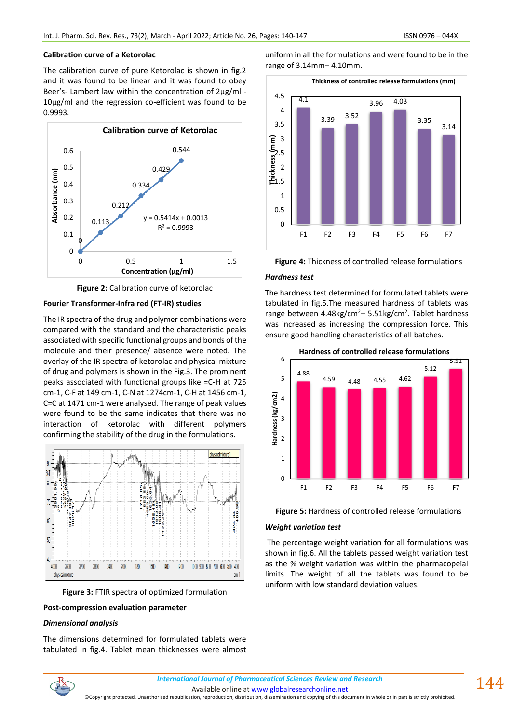#### **Calibration curve of a Ketorolac**

The calibration curve of pure Ketorolac is shown in fig.2 and it was found to be linear and it was found to obey Beer's- Lambert law within the concentration of 2µg/ml -10µg/ml and the regression co-efficient was found to be 0.9993.





### **Fourier Transformer-Infra red (FT-IR) studies**

The IR spectra of the drug and polymer combinations were compared with the standard and the characteristic peaks associated with specific functional groups and bonds of the molecule and their presence/ absence were noted. The overlay of the IR spectra of ketorolac and physical mixture of drug and polymers is shown in the Fig.3. The prominent peaks associated with functional groups like =C-H at 725 cm-1, C-F at 149 cm-1, C-N at 1274cm-1, C-H at 1456 cm-1, C=C at 1471 cm-1 were analysed. The range of peak values were found to be the same indicates that there was no interaction of ketorolac with different polymers confirming the stability of the drug in the formulations.



**Figure 3:** FTIR spectra of optimized formulation

### **Post-compression evaluation parameter**

#### *Dimensional analysis*

The dimensions determined for formulated tablets were tabulated in fig.4. Tablet mean thicknesses were almost uniform in all the formulations and were found to be in the range of 3.14mm– 4.10mm.





### *Hardness test*

The hardness test determined for formulated tablets were tabulated in fig.5.The measured hardness of tablets was range between 4.48kg/cm<sup>2</sup>– 5.51kg/cm<sup>2</sup>. Tablet hardness was increased as increasing the compression force. This ensure good handling characteristics of all batches.





#### *Weight variation test*

The percentage weight variation for all formulations was shown in fig.6. All the tablets passed weight variation test as the % weight variation was within the pharmacopeial limits. The weight of all the tablets was found to be uniform with low standard deviation values.



*International Journal of Pharmaceutical Sciences Review and Research International Journal of Pharmaceutical Sciences Review and Research*

Available online a[t www.globalresearchonline.net](http://www.globalresearchonline.net/)

©Copyright protected. Unauthorised republication, reproduction, distribution, dissemination and copying of this document in whole or in part is strictly prohibited.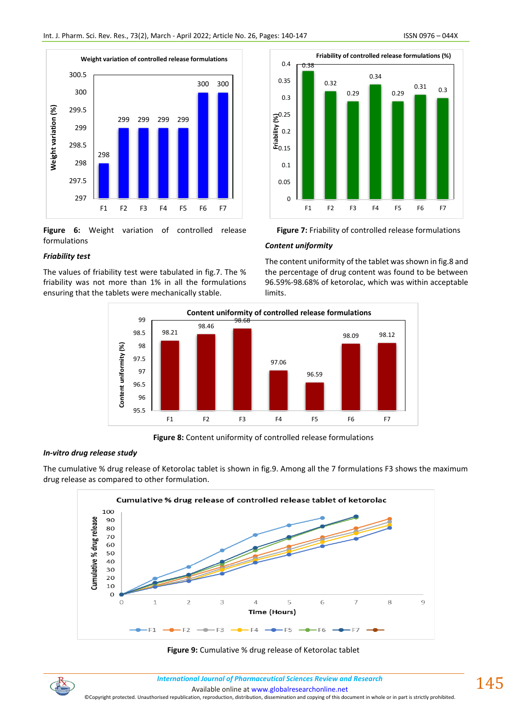

**Figure 6:** Weight variation of controlled release formulations

# *Friability test*

The values of friability test were tabulated in fig.7. The % friability was not more than 1% in all the formulations ensuring that the tablets were mechanically stable.



**Figure 7:** Friability of controlled release formulations

# *Content uniformity*

The content uniformity of the tablet was shown in fig.8 and the percentage of drug content was found to be between 96.59%-98.68% of ketorolac, which was within acceptable limits.



**Figure 8:** Content uniformity of controlled release formulations

# *In-vitro drug release study*

The cumulative % drug release of Ketorolac tablet is shown in fig.9. Among all the 7 formulations F3 shows the maximum drug release as compared to other formulation.





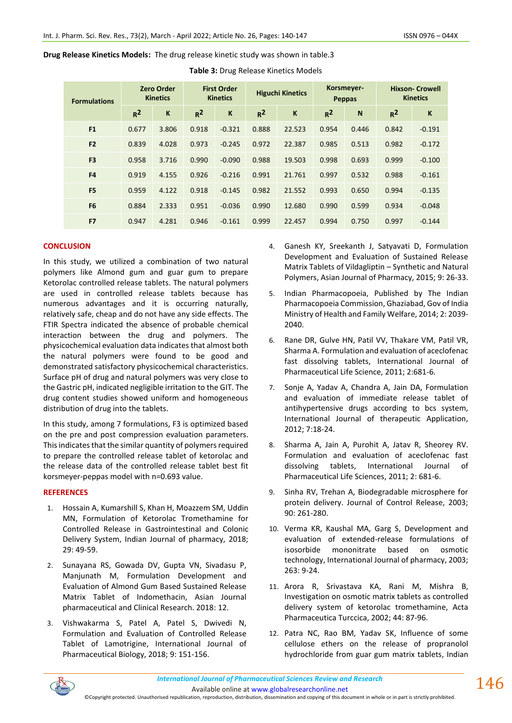**Drug Release Kinetics Models:** The drug release kinetic study was shown in table.3

| <b>Formulations</b> | <b>Zero Order</b><br><b>Kinetics</b> |       | <b>First Order</b><br><b>Kinetics</b> |              | <b>Higuchi Kinetics</b> |        | Korsmeyer-<br><b>Peppas</b> |       | <b>Hixson- Crowell</b><br><b>Kinetics</b> |          |
|---------------------|--------------------------------------|-------|---------------------------------------|--------------|-------------------------|--------|-----------------------------|-------|-------------------------------------------|----------|
|                     | $R^2$                                | K     | $R^2$                                 | $\mathsf{K}$ | $R^2$                   | K      | $R^2$                       | N     | $R^2$                                     | K        |
| F1                  | 0.677                                | 3.806 | 0.918                                 | $-0.321$     | 0.888                   | 22.523 | 0.954                       | 0.446 | 0.842                                     | $-0.191$ |
| F <sub>2</sub>      | 0.839                                | 4.028 | 0.973                                 | $-0.245$     | 0.972                   | 22.387 | 0.985                       | 0.513 | 0.982                                     | $-0.172$ |
| F <sub>3</sub>      | 0.958                                | 3.716 | 0.990                                 | $-0.090$     | 0.988                   | 19.503 | 0.998                       | 0.693 | 0.999                                     | $-0.100$ |
| F <sub>4</sub>      | 0.919                                | 4.155 | 0.926                                 | $-0.216$     | 0.991                   | 21.761 | 0.997                       | 0.532 | 0.988                                     | $-0.161$ |
| F <sub>5</sub>      | 0.959                                | 4.122 | 0.918                                 | $-0.145$     | 0.982                   | 21.552 | 0.993                       | 0.650 | 0.994                                     | $-0.135$ |
| F <sub>6</sub>      | 0.884                                | 2.333 | 0.951                                 | $-0.036$     | 0.990                   | 12.680 | 0.990                       | 0.599 | 0.934                                     | $-0.048$ |
| F <sub>7</sub>      | 0.947                                | 4.281 | 0.946                                 | $-0.161$     | 0.999                   | 22.457 | 0.994                       | 0.750 | 0.997                                     | $-0.144$ |

**Table 3:** Drug Release Kinetics Models

# **CONCLUSION**

In this study, we utilized a combination of two natural polymers like Almond gum and guar gum to prepare Ketorolac controlled release tablets. The natural polymers are used in controlled release tablets because has numerous advantages and it is occurring naturally, relatively safe, cheap and do not have any side effects. The FTIR Spectra indicated the absence of probable chemical interaction between the drug and polymers. The physicochemical evaluation data indicates that almost both the natural polymers were found to be good and demonstrated satisfactory physicochemical characteristics. Surface pH of drug and natural polymers was very close to the Gastric pH, indicated negligible irritation to the GIT. The drug content studies showed uniform and homogeneous distribution of drug into the tablets.

In this study, among 7 formulations, F3 is optimized based on the pre and post compression evaluation parameters. This indicates that the similar quantity of polymers required to prepare the controlled release tablet of ketorolac and the release data of the controlled release tablet best fit korsmeyer-peppas model with n=0.693 value.

# **REFERENCES**

- 1. Hossain A, Kumarshill S, Khan H, Moazzem SM, Uddin MN, Formulation of Ketorolac Tromethamine for Controlled Release in Gastrointestinal and Colonic Delivery System, Indian Journal of pharmacy, 2018; 29: 49-59.
- 2. Sunayana RS, Gowada DV, Gupta VN, Sivadasu P, Manjunath M, Formulation Development and Evaluation of Almond Gum Based Sustained Release Matrix Tablet of Indomethacin, Asian Journal pharmaceutical and Clinical Research. 2018: 12.
- 3. Vishwakarma S, Patel A, Patel S, Dwivedi N, Formulation and Evaluation of Controlled Release Tablet of Lamotrigine, International Journal of Pharmaceutical Biology, 2018; 9: 151-156.
- 4. Ganesh KY, Sreekanth J, Satyavati D, Formulation Development and Evaluation of Sustained Release Matrix Tablets of Vildagliptin – Synthetic and Natural Polymers, Asian Journal of Pharmacy, 2015; 9: 26-33.
- 5. Indian Pharmacopoeia, Published by The Indian Pharmacopoeia Commission, Ghaziabad, Gov of India Ministry of Health and Family Welfare, 2014; 2: 2039- 2040.
- 6. Rane DR, Gulve HN, Patil VV, Thakare VM, Patil VR, Sharma A. Formulation and evaluation of aceclofenac fast dissolving tablets, International Journal of Pharmaceutical Life Science, 2011; 2:681-6.
- 7. Sonje A, Yadav A, Chandra A, Jain DA, Formulation and evaluation of immediate release tablet of antihypertensive drugs according to bcs system, International Journal of therapeutic Application, 2012; 7:18-24.
- 8. Sharma A, Jain A, Purohit A, Jatav R, Sheorey RV. Formulation and evaluation of aceclofenac fast dissolving tablets, International Journal of Pharmaceutical Life Sciences, 2011; 2: 681-6.
- 9. Sinha RV, Trehan A, Biodegradable microsphere for protein delivery. Journal of Control Release, 2003; 90: 261-280.
- 10. Verma KR, Kaushal MA, Garg S, Development and evaluation of extended-release formulations of isosorbide mononitrate based on osmotic technology, International Journal of pharmacy, 2003; 263: 9-24.
- 11. Arora R, Srivastava KA, Rani M, Mishra B, Investigation on osmotic matrix tablets as controlled delivery system of ketorolac tromethamine, Acta Pharmaceutica Turccica, 2002; 44: 87-96.
- 12. Patra NC, Rao BM, Yadav SK, Influence of some cellulose ethers on the release of propranolol hydrochloride from guar gum matrix tablets, Indian



Available online a[t www.globalresearchonline.net](http://www.globalresearchonline.net/)